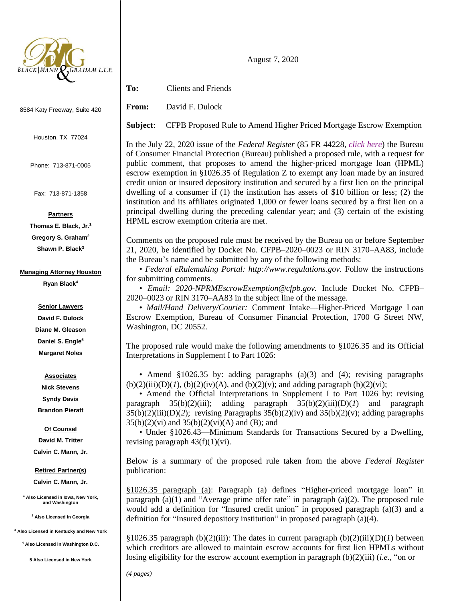

8584 Katy Freeway, Suite 420

Houston, TX 77024

Phone: 713-871-0005

Fax: 713-871-1358

**Partners**

**Thomas E. Black, Jr.<sup>1</sup> Gregory S. Graham<sup>2</sup> Shawn P. Black<sup>3</sup>**

### **Managing Attorney Houston**

**Ryan Black<sup>4</sup>**

## **Senior Lawyers**

**David F. Dulock Diane M. Gleason Daniel S. Engle<sup>5</sup> Margaret Noles**

# **Associates**

**Nick Stevens Syndy Davis Brandon Pieratt**

## **Of Counsel**

**David M. Tritter Calvin C. Mann, Jr.**

### **Retired Partner(s)**

**Calvin C. Mann, Jr.**

**<sup>1</sup> Also Licensed in Iowa, New York, and Washington**

**<sup>2</sup> Also Licensed in Georgia**

**<sup>3</sup> Also Licensed in Kentucky and New York**

**<sup>4</sup> Also Licensed in Washington D.C.**

**5 Also Licensed in New York**

August 7, 2020

**To:** Clients and Friends

**From:** David F. Dulock

**Subject**: CFPB Proposed Rule to Amend Higher Priced Mortgage Escrow Exemption

In the July 22, 2020 issue of the *Federal Register* (85 FR 44228, *[click here](https://www.govinfo.gov/content/pkg/FR-2020-07-22/pdf/2020-14692.pdf)*) the Bureau of Consumer Financial Protection (Bureau) published a proposed rule, with a request for public comment, that proposes to amend the higher-priced mortgage loan (HPML) escrow exemption in §1026.35 of Regulation Z to exempt any loan made by an insured credit union or insured depository institution and secured by a first lien on the principal dwelling of a consumer if (1) the institution has assets of \$10 billion or less; (2) the institution and its affiliates originated 1,000 or fewer loans secured by a first lien on a principal dwelling during the preceding calendar year; and (3) certain of the existing HPML escrow exemption criteria are met.

Comments on the proposed rule must be received by the Bureau on or before September 21, 2020, be identified by Docket No. CFPB–2020–0023 or RIN 3170–AA83, include the Bureau's name and be submitted by any of the following methods:

• *Federal eRulemaking Portal: http://www.regulations.gov.* Follow the instructions for submitting comments.

• *Email: 2020-NPRMEscrowExemption@cfpb.gov.* Include Docket No. CFPB– 2020–0023 or RIN 3170–AA83 in the subject line of the message.

• *Mail/Hand Delivery/Courier:* Comment Intake—Higher-Priced Mortgage Loan Escrow Exemption, Bureau of Consumer Financial Protection, 1700 G Street NW, Washington, DC 20552.

The proposed rule would make the following amendments to §1026.35 and its Official Interpretations in Supplement I to Part 1026:

• Amend §1026.35 by: adding paragraphs (a)(3) and (4); revising paragraphs  $(b)(2)(iii)(D)(1)$ ,  $(b)(2)(iv)(A)$ , and  $(b)(2)(v)$ ; and adding paragraph  $(b)(2)(vi)$ ;

• Amend the Official Interpretations in Supplement I to Part 1026 by: revising paragraph 35(b)(2)(iii); adding paragraph 35(b)(2)(iii)(D)(*1*) and paragraph  $35(b)(2)(iii)(D)(2)$ ; revising Paragraphs  $35(b)(2)(iv)$  and  $35(b)(2)(v)$ ; adding paragraphs  $35(b)(2)(vi)$  and  $35(b)(2)(vi)$ (A) and (B); and

• Under §1026.43—Minimum Standards for Transactions Secured by a Dwelling, revising paragraph  $43(f)(1)(vi)$ .

Below is a summary of the proposed rule taken from the above *Federal Register* publication:

§1026.35 paragraph (a): Paragraph (a) defines "Higher-priced mortgage loan" in paragraph  $(a)(1)$  and "Average prime offer rate" in paragraph  $(a)(2)$ . The proposed rule would add a definition for "Insured credit union" in proposed paragraph (a)(3) and a definition for "Insured depository institution" in proposed paragraph (a)(4).

§1026.35 paragraph (b)(2)(iii): The dates in current paragraph (b)(2)(iii)(D)(*l*) between which creditors are allowed to maintain escrow accounts for first lien HPMLs without losing eligibility for the escrow account exemption in paragraph (b)(2)(iii) (*i.e.*, "on or

*(4 pages)*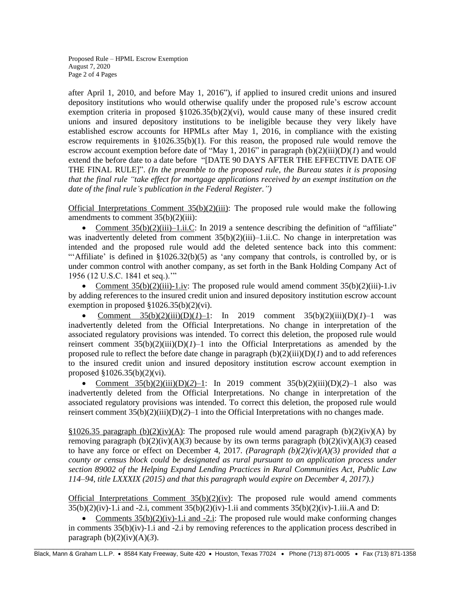Proposed Rule – HPML Escrow Exemption August 7, 2020 Page 2 of 4 Pages

after April 1, 2010, and before May 1, 2016"), if applied to insured credit unions and insured depository institutions who would otherwise qualify under the proposed rule's escrow account exemption criteria in proposed  $\S 1026.35(b)(2)(vi)$ , would cause many of these insured credit unions and insured depository institutions to be ineligible because they very likely have established escrow accounts for HPMLs after May 1, 2016, in compliance with the existing escrow requirements in  $\S 1026.35(b)(1)$ . For this reason, the proposed rule would remove the escrow account exemption before date of "May 1, 2016" in paragraph (b)(2)(iii)(D)(*1*) and would extend the before date to a date before "[DATE 90 DAYS AFTER THE EFFECTIVE DATE OF THE FINAL RULE]". *(In the preamble to the proposed rule, the Bureau states it is proposing that the final rule "take effect for mortgage applications received by an exempt institution on the date of the final rule's publication in the Federal Register.")*

Official Interpretations Comment  $35(b)(2)(iii)$ : The proposed rule would make the following amendments to comment 35(b)(2)(iii):

• Comment  $35(b)(2)(iii) - 1.ii.C$ : In 2019 a sentence describing the definition of "affiliate" was inadvertently deleted from comment  $35(b)(2)(iii) - 1.ii.C.$  No change in interpretation was intended and the proposed rule would add the deleted sentence back into this comment: "Affiliate' is defined in  $\S1026.32(b)(5)$  as 'any company that controls, is controlled by, or is under common control with another company, as set forth in the Bank Holding Company Act of 1956 (12 U.S.C. 1841 et seq.).'"

• Comment  $35(b)(2)(iii)$ -1.iv: The proposed rule would amend comment  $35(b)(2)(iii)$ -1.iv by adding references to the insured credit union and insured depository institution escrow account exemption in proposed §1026.35(b)(2)(vi).

**Comment**  $35(b)(2)(iii)(D)(1)-1$ : In 2019 comment  $35(b)(2)(iii)(D)(1)-1$  was inadvertently deleted from the Official Interpretations. No change in interpretation of the associated regulatory provisions was intended. To correct this deletion, the proposed rule would reinsert comment  $35(b)(2)(iii)(D)(I)-1$  into the Official Interpretations as amended by the proposed rule to reflect the before date change in paragraph  $(b)(2)(iii)(D)(I)$  and to add references to the insured credit union and insured depository institution escrow account exemption in proposed §1026.35(b)(2)(vi).

• Comment 35(b)(2)(iii)(D)(*2*)–1: In 2019 comment 35(b)(2)(iii)(D)(*2*)–1 also was inadvertently deleted from the Official Interpretations. No change in interpretation of the associated regulatory provisions was intended. To correct this deletion, the proposed rule would reinsert comment  $35(b)(2)(iii)(D)(2)-1$  into the Official Interpretations with no changes made.

§1026.35 paragraph (b)(2)(iv)(A): The proposed rule would amend paragraph (b)(2)(iv)(A) by removing paragraph  $(b)(2)(iv)(A)(3)$  because by its own terms paragraph  $(b)(2)(iv)(A)(3)$  ceased to have any force or effect on December 4, 2017. *(Paragraph (b)(2)(iv)(A)(*3*) provided that a county or census block could be designated as rural pursuant to an application process under section 89002 of the Helping Expand Lending Practices in Rural Communities Act, Public Law 114–94, title LXXXIX (2015) and that this paragraph would expire on December 4, 2017).)*

Official Interpretations Comment  $35(b)(2)(iv)$ : The proposed rule would amend comments  $35(b)(2)(iv) - 1$ .i and  $-2$ .i, comment  $35(b)(2)(iv) - 1$ .ii and comments  $35(b)(2)(iv) - 1$ .iii.A and D:

• Comments  $35(b)(2)(iv)-1$ , i and  $-2$ , i: The proposed rule would make conforming changes in comments  $35(b)(iv)-1$ , i and  $-2$ , i by removing references to the application process described in paragraph  $(b)(2)(iv)(A)(3)$ .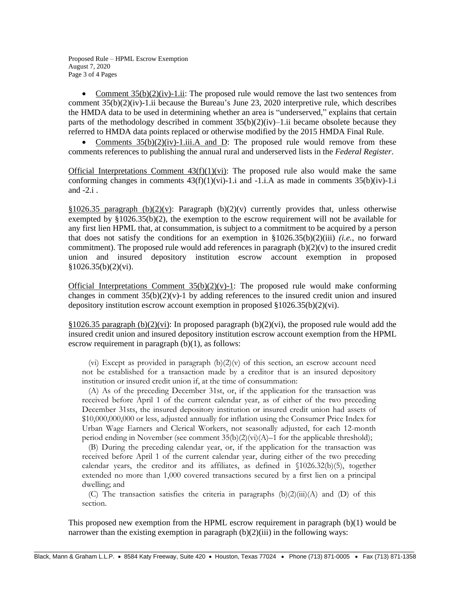Proposed Rule – HPML Escrow Exemption August 7, 2020 Page 3 of 4 Pages

• Comment  $35(b)(2)(iv)$ -1.ii: The proposed rule would remove the last two sentences from comment  $35(b)(2)(iv)$ -1.ii because the Bureau's June 23, 2020 interpretive rule, which describes the HMDA data to be used in determining whether an area is "underserved," explains that certain parts of the methodology described in comment  $35(b)(2)(iv)$ –1.ii became obsolete because they referred to HMDA data points replaced or otherwise modified by the 2015 HMDA Final Rule.

• Comments  $35(b)(2)(iv)-1.iii$ . A and D: The proposed rule would remove from these comments references to publishing the annual rural and underserved lists in the *Federal Register*.

Official Interpretations Comment  $43(f)(1)(vi)$ : The proposed rule also would make the same conforming changes in comments  $43(f)(1)(vi)$ -1.i and  $-1.i$ .A as made in comments  $35(b)(iv)$ -1.i and -2.i .

§1026.35 paragraph (b)(2)(v): Paragraph (b)(2)(v) currently provides that, unless otherwise exempted by  $\S 1026.35(b)(2)$ , the exemption to the escrow requirement will not be available for any first lien HPML that, at consummation, is subject to a commitment to be acquired by a person that does not satisfy the conditions for an exemption in §1026.35(b)(2)(iii) *(i.e.*, no forward commitment). The proposed rule would add references in paragraph  $(b)(2)(v)$  to the insured credit union and insured depository institution escrow account exemption in proposed §1026.35(b)(2)(vi).

Official Interpretations Comment  $35(b)(2)(v)$ -1: The proposed rule would make conforming changes in comment  $35(b)(2)(v)$ -1 by adding references to the insured credit union and insured depository institution escrow account exemption in proposed §1026.35(b)(2)(vi).

 $§1026.35$  paragraph (b)(2)(vi): In proposed paragraph (b)(2)(vi), the proposed rule would add the insured credit union and insured depository institution escrow account exemption from the HPML escrow requirement in paragraph (b)(1), as follows:

(vi) Except as provided in paragraph  $(b)(2)(v)$  of this section, an escrow account need not be established for a transaction made by a creditor that is an insured depository institution or insured credit union if, at the time of consummation:

 (A) As of the preceding December 31st, or, if the application for the transaction was received before April 1 of the current calendar year, as of either of the two preceding December 31sts, the insured depository institution or insured credit union had assets of \$10,000,000,000 or less, adjusted annually for inflation using the Consumer Price Index for Urban Wage Earners and Clerical Workers, not seasonally adjusted, for each 12-month period ending in November (see comment  $35(b)(2)(vi)(A)-1$  for the applicable threshold);

 (B) During the preceding calendar year, or, if the application for the transaction was received before April 1 of the current calendar year, during either of the two preceding calendar years, the creditor and its affiliates, as defined in §1026.32(b)(5), together extended no more than 1,000 covered transactions secured by a first lien on a principal dwelling; and

(C) The transaction satisfies the criteria in paragraphs  $(b)(2)(iii)(A)$  and  $(D)$  of this section.

This proposed new exemption from the HPML escrow requirement in paragraph (b)(1) would be narrower than the existing exemption in paragraph  $(b)(2)(iii)$  in the following ways: